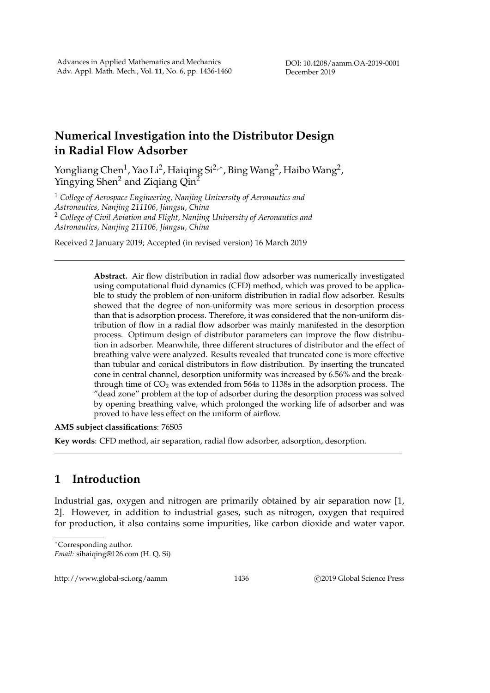## **Numerical Investigation into the Distributor Design in Radial Flow Adsorber**

Yongliang Chen<sup>1</sup>, Yao Li<sup>2</sup>, Haiqing Si<sup>2,</sup>\*, Bing Wang<sup>2</sup>, Haibo Wang<sup>2</sup>, Yingying Shen<sup>2</sup> and Ziqiang Qin<sup>2</sup>

<sup>1</sup> *College of Aerospace Engineering, Nanjing University of Aeronautics and Astronautics, Nanjing 211106, Jiangsu, China* <sup>2</sup> *College of Civil Aviation and Flight, Nanjing University of Aeronautics and Astronautics, Nanjing 211106, Jiangsu, China*

Received 2 January 2019; Accepted (in revised version) 16 March 2019

**Abstract.** Air flow distribution in radial flow adsorber was numerically investigated using computational fluid dynamics (CFD) method, which was proved to be applicable to study the problem of non-uniform distribution in radial flow adsorber. Results showed that the degree of non-uniformity was more serious in desorption process than that is adsorption process. Therefore, it was considered that the non-uniform distribution of flow in a radial flow adsorber was mainly manifested in the desorption process. Optimum design of distributor parameters can improve the flow distribution in adsorber. Meanwhile, three different structures of distributor and the effect of breathing valve were analyzed. Results revealed that truncated cone is more effective than tubular and conical distributors in flow distribution. By inserting the truncated cone in central channel, desorption uniformity was increased by 6.56% and the breakthrough time of  $CO<sub>2</sub>$  was extended from 564s to 1138s in the adsorption process. The "dead zone" problem at the top of adsorber during the desorption process was solved by opening breathing valve, which prolonged the working life of adsorber and was proved to have less effect on the uniform of airflow.

## **AMS subject classifications**: 76S05

**Key words**: CFD method, air separation, radial flow adsorber, adsorption, desorption.

## **1 Introduction**

Industrial gas, oxygen and nitrogen are primarily obtained by air separation now [1, 2]. However, in addition to industrial gases, such as nitrogen, oxygen that required for production, it also contains some impurities, like carbon dioxide and water vapor.

*Email:* sihaiqing@126.com (H. Q. Si)

http://www.global-sci.org/aamm 1436 C2019 Global Science Press

<sup>∗</sup>Corresponding author.